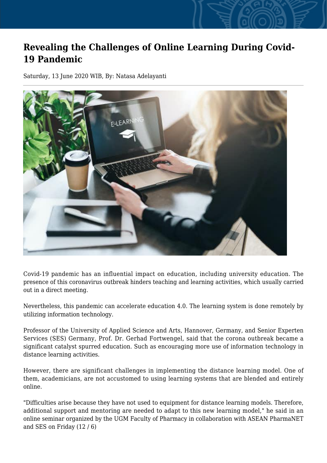## **Revealing the Challenges of Online Learning During Covid-19 Pandemic**

Saturday, 13 June 2020 WIB, By: Natasa Adelayanti



Covid-19 pandemic has an influential impact on education, including university education. The presence of this coronavirus outbreak hinders teaching and learning activities, which usually carried out in a direct meeting.

Nevertheless, this pandemic can accelerate education 4.0. The learning system is done remotely by utilizing information technology.

Professor of the University of Applied Science and Arts, Hannover, Germany, and Senior Experten Services (SES) Germany, Prof. Dr. Gerhad Fortwengel, said that the corona outbreak became a significant catalyst spurred education. Such as encouraging more use of information technology in distance learning activities.

However, there are significant challenges in implementing the distance learning model. One of them, academicians, are not accustomed to using learning systems that are blended and entirely online.

"Difficulties arise because they have not used to equipment for distance learning models. Therefore, additional support and mentoring are needed to adapt to this new learning model," he said in an online seminar organized by the UGM Faculty of Pharmacy in collaboration with ASEAN PharmaNET and SES on Friday (12 / 6)